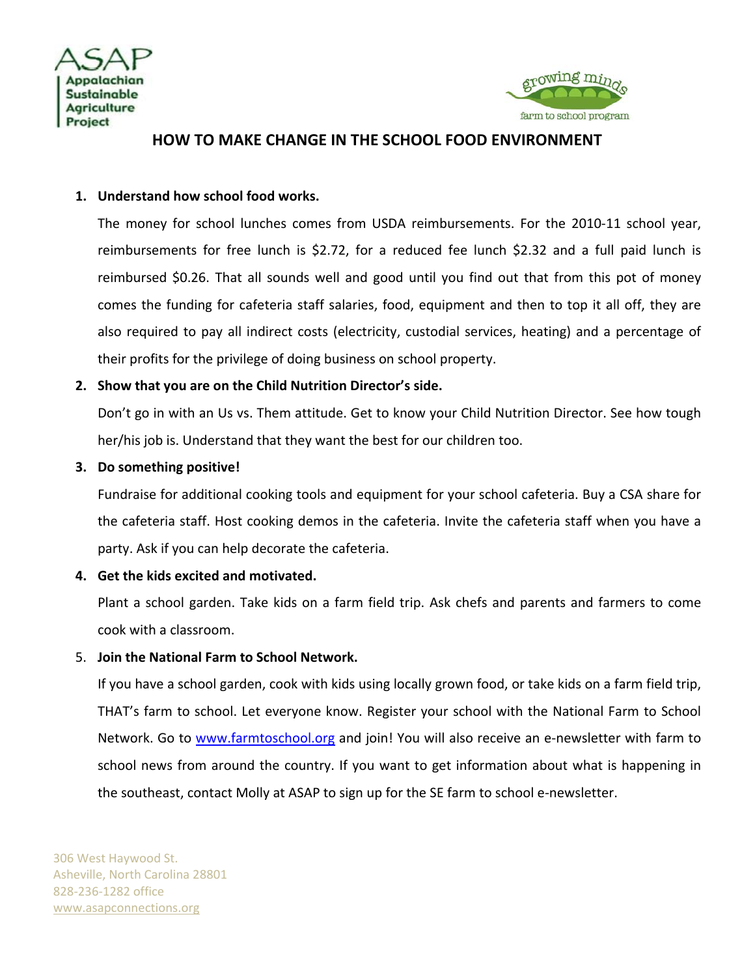



# **HOW TO MAKE CHANGE IN THE SCHOOL FOOD ENVIRONMENT**

#### **1. Understand how school food works.**

The money for school lunches comes from USDA reimbursements. For the 2010‐11 school year, reimbursements for free lunch is \$2.72, for a reduced fee lunch \$2.32 and a full paid lunch is reimbursed \$0.26. That all sounds well and good until you find out that from this pot of money comes the funding for cafeteria staff salaries, food, equipment and then to top it all off, they are also required to pay all indirect costs (electricity, custodial services, heating) and a percentage of their profits for the privilege of doing business on school property.

## **2. Show that you are on the Child Nutrition Director's side.**

Don't go in with an Us vs. Them attitude. Get to know your Child Nutrition Director. See how tough her/his job is. Understand that they want the best for our children too.

#### **3. Do something positive!**

Fundraise for additional cooking tools and equipment for your school cafeteria. Buy a CSA share for the cafeteria staff. Host cooking demos in the cafeteria. Invite the cafeteria staff when you have a party. Ask if you can help decorate the cafeteria.

## **4. Get the kids excited and motivated.**

Plant a school garden. Take kids on a farm field trip. Ask chefs and parents and farmers to come cook with a classroom.

#### 5. **Join the National Farm to School Network.**

If you have a school garden, cook with kids using locally grown food, or take kids on a farm field trip, THAT's farm to school. Let everyone know. Register your school with the National Farm to School Network. Go to www.farmtoschool.org and join! You will also receive an e-newsletter with farm to school news from around the country. If you want to get information about what is happening in the southeast, contact Molly at ASAP to sign up for the SE farm to school e-newsletter.